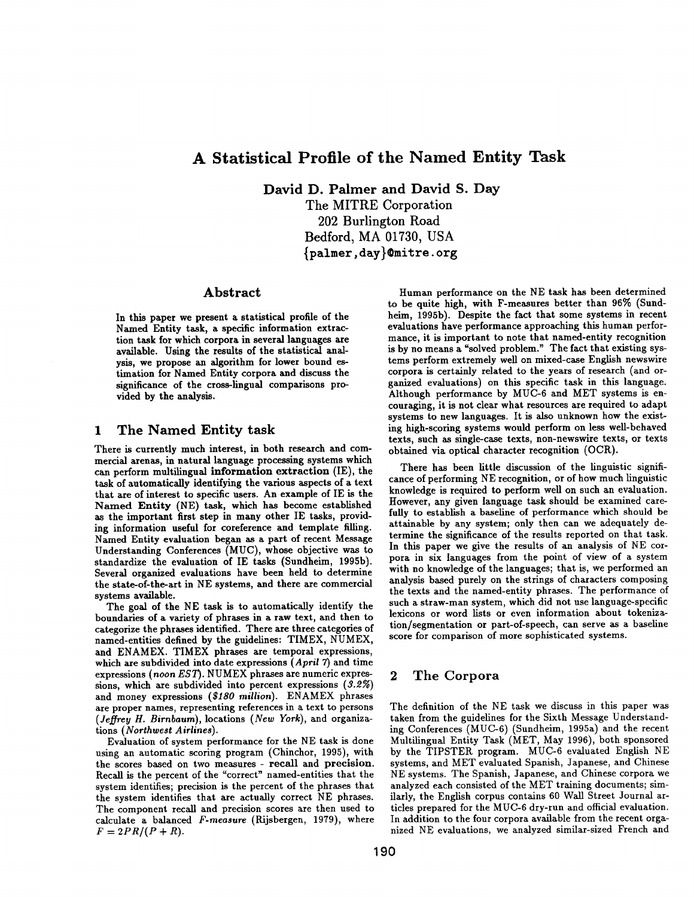# **A Statistical Profile of the Named Entity Task**

David **D. Palmer** and David S. Day

The MITRE Corporation 202 Burlington Road Bedford, MA 01730, USA **{palmer,** day}@mitre, org

# **Abstract**

In this paper we present a statistical profile of the Named Entity task, a specific information extraction task for which corpora in several languages are available. Using the results of the statistical analysis, we propose an algorithm for lower bound estimation for Named Entity corpora and discuss the significance of the cross-lingual comparisons provided by the analysis.

### **1 The** Named Entity task

There is currently much interest, in both research and commercial arenas, in natural language processing systems which can perform multilingual information extraction (IE), the task of automatically identifying the various aspects of a text that are of interest to specific users. An example of IE is the Named Entity (NE) task, which has become established as the important first step in many other IE tasks, providing information useful for coreference and template filling. Named Entity evaluation began as a part of recent Message Understanding Conferences (MUC), whose objective was to standardize the evaluation of IE tasks (Sundheim, 1995b). Several organized evaluations have been held to determine the state-of-the-art in NE systems, and there are commercial systems available.

The goal of the NE task is to automatically identify the boundaries of a variety of phrases in a raw text, and then to categorize the phrases identified. There are three categories of named-entities defined by the guidelines: TIMEX, NUMEX, and ENAMEX. TIMEX phrases are temporal expressions, which are subdivided into date expressions *(April 7)* and time expressions *(noon EST).* NUMEX phrases are numeric expressions, which are subdivided into percent expressions  $(3.2%)$ and money expressions *(\$180 million).* ENAMEX phrases are proper names, representing references in a text to persons *(Jeffrey H. Birnbaum),* locations *(New York),* and organizations *(Northwest Airlines).* 

Evaluation of system performance for the NE task is done using an automatic scoring program (Chinchor, 1995), with the scores based on two measures - recall and precision. Recall is the percent of the "correct" named-entities that the system identifies; precision is the percent of the phrases that the system identifies that are actually correct NE phrases. The component recall and precision scores are then used to calculate a balanced *F-measure* (Rijsbergen, 1979), where  $F = 2PR/(P + R)$ .

Human performance on the NE task has been determined to be quite high, with F-measures better than 96% (Sundheim, 1995b). Despite the fact that some systems in recent evaluations have performance approaching this human performance, it is important to note that named-entity recognition is by no means a "solved problem." The fact that existing systems perform extremely well on mixed-case English newswire corpora is certainly related to the years of research (and organized evaluations) on this specific task in this language. Although performance by MUC-6 and MET systems is encouraging, it is not clear what resources are required to adapt systems to new languages. It is also unknown how the existing high-scoring systems would perform on less well-behaved texts, such as single-case texts, non-newswire texts, or texts obtained via optical character recognition (OCR).

There has been little discussion of the linguistic significance of performing NE recognition, or of how much linguistic knowledge is required to perform well on such an evaluation. However, any given language task should be examined carefully to establish a baseline of performance which should be attainable by any system; only then can we adequately determine the significance of the results reported on that task. In this paper we give the results of an analysis of NE corpora in six languages from the point of view of a system with no knowledge of the languages; that is, we performed an analysis based purely on the strings of characters composing the texts and the named-entity phrases. The performance of such a straw-man system, which did not use language-specific lexicons or word lists or even information about tokenization/segmentation or part-of-speech, can serve as a baseline score for comparison of more sophisticated systems.

## 2 The Corpora

The definition of the NE task we discuss in this paper was taken from the guidelines for the Sixth Message Understanding Conferences (MUC-6) (Sundheim, 1995a) and the recent Multilingual Entity Task (MET, May 1996), both sponsored by the TIPSTER program. MUC-6 evaluated English NE systems, and MET evaluated Spanish, Japanese, and Chinese NE systems. The Spanish, Japanese, and Chinese corpora we analyzed each consisted of the MET training documents; similarly, the English corpus contains 60 Wall Street Journal articles prepared for the MUC-6 dry-run and official evaluation. In addition to the four corpora available from the recent organized NE evaluations, we analyzed similar-sized French and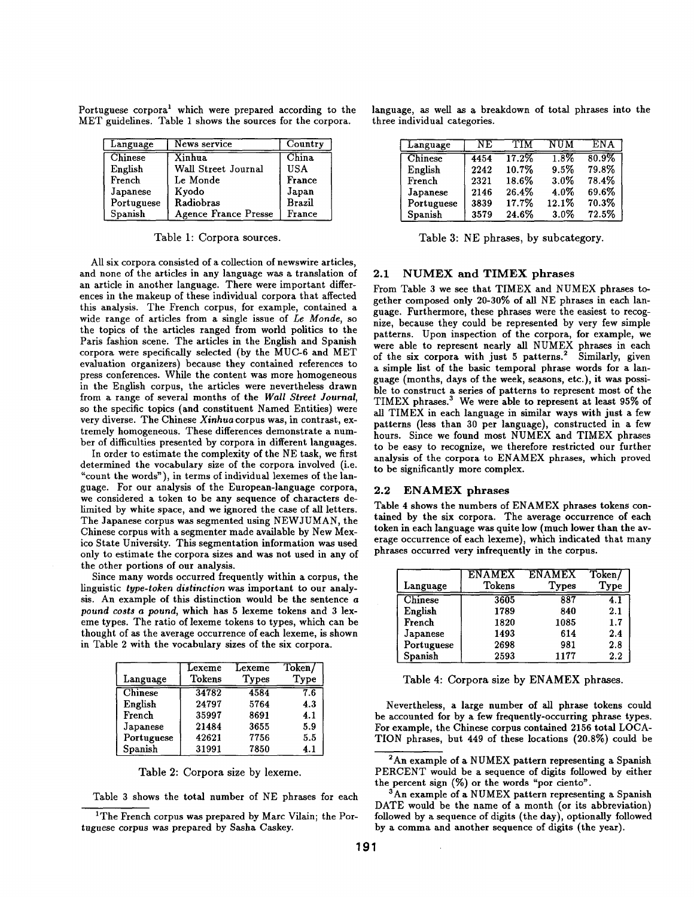| Portuguese corpora <sup>1</sup> which were prepared according to the |  |  |  |
|----------------------------------------------------------------------|--|--|--|
| MET guidelines. Table 1 shows the sources for the corpora.           |  |  |  |

| Language   | News service                | Country       |
|------------|-----------------------------|---------------|
| Chinese    | Xinhua                      | China         |
| English    | Wall Street Journal         | USA           |
| French     | Le Monde                    | France        |
| Japanese   | Kvodo                       | Japan         |
| Portuguese | Radiobras                   | <b>Brazil</b> |
| Spanish    | <b>Agence France Presse</b> | France        |

All six corpora consisted of a collection of newswire articles, and none of the articles in any language was a translation of an article in another language. There were important differences in the makeup of these individual corpora that affected this analysis. The French corpus, for example, contained a wide range of articles from a single issue of *Le Monde,* so the topics of the articles ranged from world politics to the Paris fashion scene. The articles in the English and Spanish corpora were specifically selected (by the MUC-6 and MET evaluation organizers) because they contained references to press conferences. While the content was more homogeneous in the English corpus, the articles were nevertheless drawn from a range of several months of the *Wall Street Journal,*  so the specific topics (and constituent Named Entities) were very diverse. The Chinese *Xinhua* corpus was, in contrast, extremely homogeneous. These differences demonstrate a number of difficulties presented by corpora in different languages.

In order to estimate the complexity of the NE task, we first determined the vocabulary size of the corpora involved (i.e. "count the words"), in terms of individual lexemes of the language. For our analysis of the European-language corpora, we considered a token to be any sequence of characters delimited by white space, and we ignored the case of all letters. The Japanese corpus was segmented using NEWJUMAN, the Chinese corpus with a segmenter made available by New Mexico State University. This segmentation information was used only to estimate the corpora sizes and was not used in any of the other portions of our analysis.

Since many words occurred frequently within a corpus, the linguistic *type-token distinction* was important to our analysis. An example of this distinction would be the sentence a *pound costs a pound,* which has 5 lexeme tokens and 3 lexeme types. The ratio of lexeme tokens to types, which can be thought of as the average occurrence of each lexeme, is shown in Table 2 with the vocabulary sizes of the six corpora.

| Language       | Lexeme<br>Tokens | Lexeme<br>Types | Token/<br>Type |
|----------------|------------------|-----------------|----------------|
| <b>Chinese</b> | 34782            | 4584            | 7.6            |
| English        | 24797            | 5764            | 4.3            |
| French         | 35997            | 8691            | 4.1            |
| Japanese       | 21484            | 3655            | 5.9            |
| Portuguese     | 42621            | 7756            | 5.5            |
| Spanish        | 31991            | 7850            | 4.1            |

Table 2: Corpora size by lexeme.

Table 3 shows the total number of NE phrases for each

<sup>1</sup>The French corpus was prepared by Marc Vilain; the Portuguese corpus was prepared by Sasha Caskey.

e language, as well as a breakdown of total phrases into the three individual categories.

| Language       | NE.  | TIM      | NUM     | <b>ENA</b> |
|----------------|------|----------|---------|------------|
| <b>Chinese</b> | 4454 | $17.2\%$ | $1.8\%$ | 80.9%      |
| English        | 2242 | 10.7%    | 9.5%    | 79.8%      |
| French         | 2321 | 18.6%    | $3.0\%$ | 78.4%      |
| Japanese       | 2146 | 26.4%    | 4.0%    | 69.6%      |
| Portuguese     | 3839 | 17.7%    | 12.1%   | 70.3%      |
| Spanish        | 3579 | 24.6%    | $3.0\%$ | 72.5%      |

Table 1: Corpora sources. Table 3: NE phrases, by subcategory.

#### 2.1 NUMEX and TIMEX phrases

From Table 3 we see that TIMEX and NUMEX phrases together composed only 20-30% of all NE phrases in each language. Furthermore, these phrases were the easiest to recognize, because they could be represented by very few simple patterns. Upon inspection of the corpora, for example, we were able to represent nearly all NUMEX phrases in each of the six corpora with just 5 patterns.<sup>2</sup> Similarly, given a simple list of the basic temporal phrase words for a language (months, days of the week, seasons, etc.), it was possible to construct a series of patterns to represent most of the TIMEX phrases.<sup>3</sup> We were able to represent at least 95% of all TIMEX in each language in similar ways with just a few patterns (less than 30 per language), constructed in a few hours. Since we found most NUMEX and TIMEX phrases to be easy to recognize, we therefore restricted our further analysis of the corpora to ENAMEX phrases, which proved to be significantly more complex.

#### 2.2 ENAMEX phrases

Table 4 shows the numbers of ENAMEX phrases tokens contained by the six corpora. The average occurrence of each token in each language was quite low (much lower than the average occurrence of each lexeme), which indicated that many phrases occurred very infrequently in the corpus.

| Language   | <b>ENAMEX</b><br>Tokens | <b>ENAMEX</b><br><b>Types</b> | Token/<br>Type |
|------------|-------------------------|-------------------------------|----------------|
| Chinese    | 3605                    | 887                           | 4.1            |
| English    | 1789                    | 840                           | 2.1            |
| French     | 1820                    | 1085                          | 1.7            |
| Japanese   | 1493                    | 614                           | 2.4            |
| Portuguese | 2698                    | 981                           | 2.8            |
| Spanish    | 2593                    | 1177                          | 2.2            |

Table 4: Corpora size by ENAMEX phrases.

Nevertheless, a large number of all phrase tokens could be accounted for by a few frequently-occurring phrase types. For example, the Chinese corpus contained 2156 total LOCA-TION phrases, but 449 of these locations (20.8%) could be

 $2$ An example of a NUMEX pattern representing a Spanish PERCENT would be a sequence of digits followed by either the percent sign (%) or the words "por ciento'.

<sup>&</sup>lt;sup>3</sup>An example of a NUMEX pattern representing a Spanish DATE would be the name of a month (or its abbreviation) followed by a sequence of digits (the day), optionally followed by a comma and another sequence of digits (the year).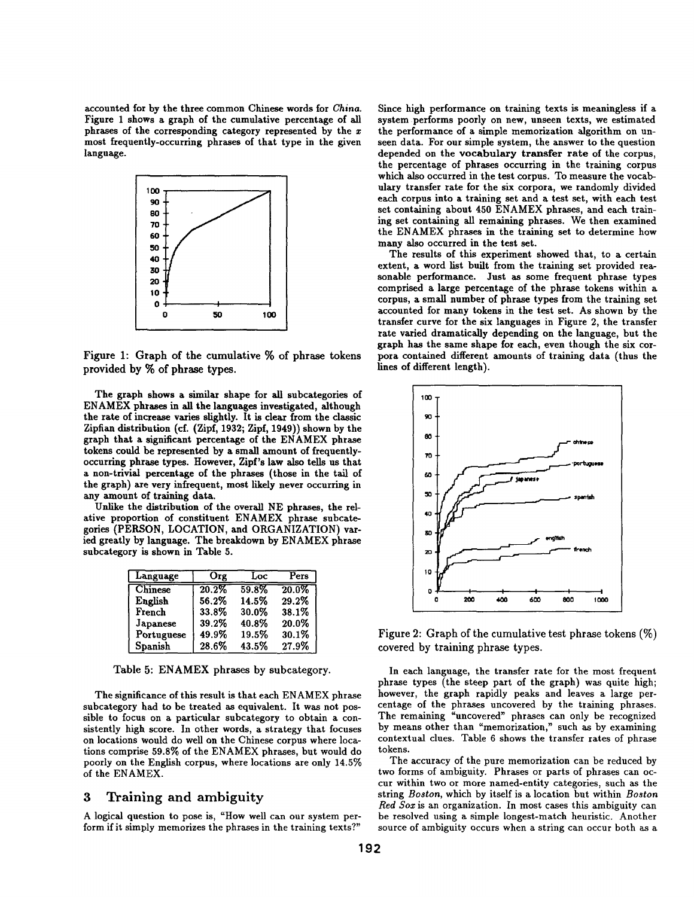accounted for by the three common Chinese words for *China.*  Figure 1 shows a graph of the cumulative percentage of all phrases of the corresponding category represented by the  $x$ most frequently-occurring phrases of that type in the given language.



Figure 1: Graph of the cumulative % of phrase tokens provided by % of phrase types.

The graph shows a similar shape for all subcategories of ENAMEX phrases in all the languages investigated, although the rate of increase varies slightly. It is clear from the classic Zipfian distribution (cf. (Zipf, 1932; Zipf, 1949)) shown by the graph that a significant percentage of the ENAMEX phrase tokens could be represented by a small amount of frequentlyoccurring phrase types. However, Zipf's law also tells us that a non-trivial percentage of the phrases (those in the tail of the graph) are very infrequent, most likely never occurring in any amount of training data.

Unlike the distribution of the overall NE phrases, the relative proportion of constituent ENAMEX phrase subcategories (PERSON, LOCATION, and ORGANIZATION) varied greatly by language. The breakdown by ENAMEX phrase subcategory is shown in Table 5.

| Language   | Org   | Loc   | Pers  |
|------------|-------|-------|-------|
| Chinese    | 20.2% | 59.8% | 20.0% |
| English    | 56.2% | 14.5% | 29.2% |
| French     | 33.8% | 30.0% | 38.1% |
| Japanese   | 39.2% | 40.8% | 20.0% |
| Portuguese | 49.9% | 19.5% | 30.1% |
| Spanish    | 28.6% | 43.5% | 27.9% |

Table 5: ENAMEX phrases by subcategory.

The significance of this result is that each ENAMEX phrase subcategory had to be treated as equivalent. It was not possible to focus on a particular subcategory to obtain a consistently high score. In other words, a strategy that focuses on locations would do well on the Chinese corpus where locations comprise 59.8% of the ENAMEX phrases, but would do poorly on the English corpus, where locations are only 14.5% of the ENAMEX.

# 3 Training and ambiguity

A logical question to pose is, "How well can our system perform if it simply memorizes the phrases in the training texts?" Since high performance on training texts is meaningless if a system performs poorly on new, unseen texts, we estimated the performance of a simple memorization algorithm on unseen data. For our simple system, the answer to the question depended on the vocabulary transfer rate of the corpus, the percentage of phrases occurring in the training corpus which also occurred in the test corpus. To measure the vocabulary transfer rate for the six corpora, we randomly divided each corpus into a training set and a test set, with each test set containing about 450 ENAMEX phrases, and each training set containing all remaining phrases. We then examined the ENAMEX phrases in the training set to determine how many also occurred in the test set.

The results of this experiment showed that, to a certain extent, a word list built from the training set provided reasonable performance. Just as some frequent phrase types comprised a large percentage of the phrase tokens within a corpus, a small number of phrase types from the training set accounted for many tokens in the test set. As shown by the transfer curve for the six languages in Figure 2, the transfer rate varied dramatically depending on the language, but the graph has the same shape for each, even though the six corpora contained different amounts of training data (thus the lines of different length).



Figure 2: Graph of the cumulative test phrase tokens (%) covered by training phrase types.

In each language, the transfer rate for the most frequent phrase types (the steep part of the graph) was quite high; however, the graph rapidly peaks and leaves a large percentage of the phrases uncovered by the training phrases. The remaining "uncovered" phrases can only be recognized by means other than "memorization," such as by examining contextual clues. Table 6 shows the transfer rates of phrase tokens.

The accuracy of the pure memorization can be reduced by two forms of ambiguity. Phrases or parts of phrases can occur within two or more named-entity categories, such as the string *Boston,* which by itself is a location but within *Boston*  Red Sox is an organization. In most cases this ambiguity can be resolved using a simple longest-match heuristic. Another source of ambiguity occurs when a string can occur both as a